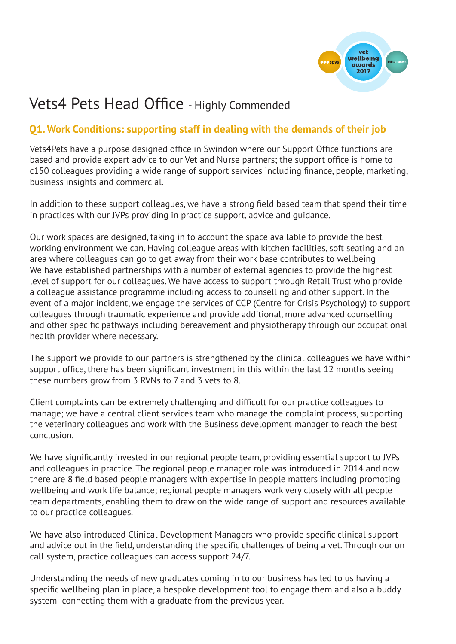

# Vets4 Pets Head Office - Highly Commended

# **Q1. Work Conditions: supporting staff in dealing with the demands of their job**

Vets4Pets have a purpose designed office in Swindon where our Support Office functions are based and provide expert advice to our Vet and Nurse partners; the support office is home to c150 colleagues providing a wide range of support services including finance, people, marketing, business insights and commercial.

In addition to these support colleagues, we have a strong field based team that spend their time in practices with our JVPs providing in practice support, advice and guidance.

Our work spaces are designed, taking in to account the space available to provide the best working environment we can. Having colleague areas with kitchen facilities, soft seating and an area where colleagues can go to get away from their work base contributes to wellbeing We have established partnerships with a number of external agencies to provide the highest level of support for our colleagues. We have access to support through Retail Trust who provide a colleague assistance programme including access to counselling and other support. In the event of a major incident, we engage the services of CCP (Centre for Crisis Psychology) to support colleagues through traumatic experience and provide additional, more advanced counselling and other specific pathways including bereavement and physiotherapy through our occupational health provider where necessary.

The support we provide to our partners is strengthened by the clinical colleagues we have within support office, there has been significant investment in this within the last 12 months seeing these numbers grow from 3 RVNs to 7 and 3 vets to 8.

Client complaints can be extremely challenging and difficult for our practice colleagues to manage; we have a central client services team who manage the complaint process, supporting the veterinary colleagues and work with the Business development manager to reach the best conclusion.

We have significantly invested in our regional people team, providing essential support to JVPs and colleagues in practice. The regional people manager role was introduced in 2014 and now there are 8 field based people managers with expertise in people matters including promoting wellbeing and work life balance; regional people managers work very closely with all people team departments, enabling them to draw on the wide range of support and resources available to our practice colleagues.

We have also introduced Clinical Development Managers who provide specific clinical support and advice out in the field, understanding the specific challenges of being a vet. Through our on call system, practice colleagues can access support 24/7.

Understanding the needs of new graduates coming in to our business has led to us having a specific wellbeing plan in place, a bespoke development tool to engage them and also a buddy system- connecting them with a graduate from the previous year.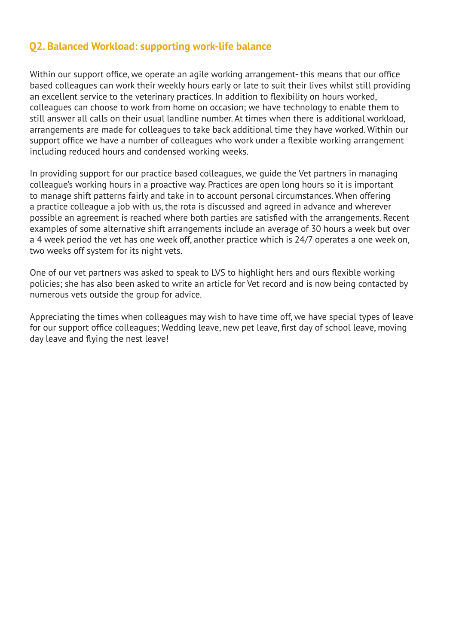#### **Q2. Balanced Workload: supporting work-life balance**

Within our support office, we operate an agile working arrangement- this means that our office based colleagues can work their weekly hours early or late to suit their lives whilst still providing an excellent service to the veterinary practices. In addition to flexibility on hours worked, colleagues can choose to work from home on occasion; we have technology to enable them to still answer all calls on their usual landline number. At times when there is additional workload, arrangements are made for colleagues to take back additional time they have worked. Within our support office we have a number of colleagues who work under a flexible working arrangement including reduced hours and condensed working weeks.

In providing support for our practice based colleagues, we guide the Vet partners in managing colleague's working hours in a proactive way. Practices are open long hours so it is important to manage shift patterns fairly and take in to account personal circumstances. When offering a practice colleague a job with us, the rota is discussed and agreed in advance and wherever possible an agreement is reached where both parties are satisfied with the arrangements. Recent examples of some alternative shift arrangements include an average of 30 hours a week but over a 4 week period the vet has one week off, another practice which is 24/7 operates a one week on, two weeks off system for its night vets.

One of our vet partners was asked to speak to LVS to highlight hers and ours flexible working policies; she has also been asked to write an article for Vet record and is now being contacted by numerous vets outside the group for advice.

Appreciating the times when colleagues may wish to have time off, we have special types of leave for our support office colleagues; Wedding leave, new pet leave, first day of school leave, moving day leave and flying the nest leave!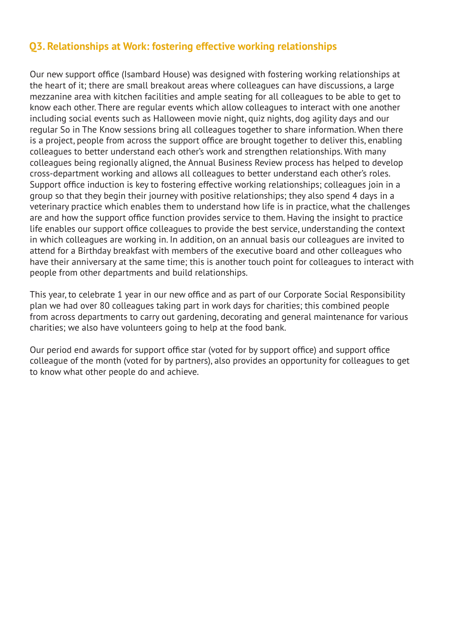#### **Q3. Relationships at Work: fostering effective working relationships**

Our new support office (Isambard House) was designed with fostering working relationships at the heart of it; there are small breakout areas where colleagues can have discussions, a large mezzanine area with kitchen facilities and ample seating for all colleagues to be able to get to know each other. There are regular events which allow colleagues to interact with one another including social events such as Halloween movie night, quiz nights, dog agility days and our regular So in The Know sessions bring all colleagues together to share information. When there is a project, people from across the support office are brought together to deliver this, enabling colleagues to better understand each other's work and strengthen relationships. With many colleagues being regionally aligned, the Annual Business Review process has helped to develop cross-department working and allows all colleagues to better understand each other's roles. Support office induction is key to fostering effective working relationships; colleagues join in a group so that they begin their journey with positive relationships; they also spend 4 days in a veterinary practice which enables them to understand how life is in practice, what the challenges are and how the support office function provides service to them. Having the insight to practice life enables our support office colleagues to provide the best service, understanding the context in which colleagues are working in. In addition, on an annual basis our colleagues are invited to attend for a Birthday breakfast with members of the executive board and other colleagues who have their anniversary at the same time; this is another touch point for colleagues to interact with people from other departments and build relationships.

This year, to celebrate 1 year in our new office and as part of our Corporate Social Responsibility plan we had over 80 colleagues taking part in work days for charities; this combined people from across departments to carry out gardening, decorating and general maintenance for various charities; we also have volunteers going to help at the food bank.

Our period end awards for support office star (voted for by support office) and support office colleague of the month (voted for by partners), also provides an opportunity for colleagues to get to know what other people do and achieve.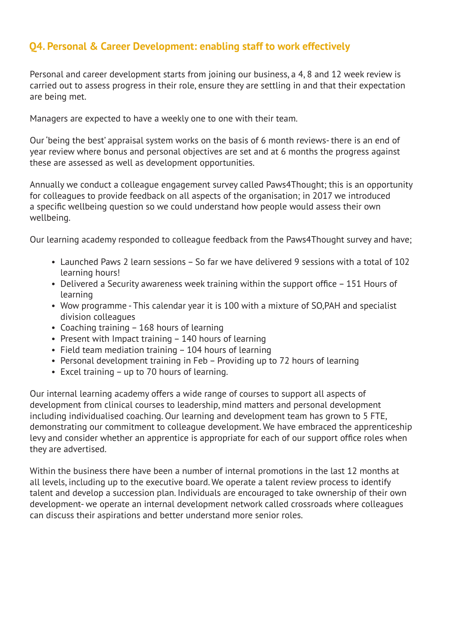# **Q4. Personal & Career Development: enabling staff to work effectively**

Personal and career development starts from joining our business, a 4, 8 and 12 week review is carried out to assess progress in their role, ensure they are settling in and that their expectation are being met.

Managers are expected to have a weekly one to one with their team.

Our 'being the best' appraisal system works on the basis of 6 month reviews- there is an end of year review where bonus and personal objectives are set and at 6 months the progress against these are assessed as well as development opportunities.

Annually we conduct a colleague engagement survey called Paws4Thought; this is an opportunity for colleagues to provide feedback on all aspects of the organisation; in 2017 we introduced a specific wellbeing question so we could understand how people would assess their own wellbeing.

Our learning academy responded to colleague feedback from the Paws4Thought survey and have;

- Launched Paws 2 learn sessions So far we have delivered 9 sessions with a total of 102 learning hours!
- Delivered a Security awareness week training within the support office 151 Hours of learning
- Wow programme This calendar year it is 100 with a mixture of SO,PAH and specialist division colleagues
- Coaching training 168 hours of learning
- Present with Impact training 140 hours of learning
- Field team mediation training 104 hours of learning
- Personal development training in Feb Providing up to 72 hours of learning
- Excel training up to 70 hours of learning.

Our internal learning academy offers a wide range of courses to support all aspects of development from clinical courses to leadership, mind matters and personal development including individualised coaching. Our learning and development team has grown to 5 FTE, demonstrating our commitment to colleague development. We have embraced the apprenticeship levy and consider whether an apprentice is appropriate for each of our support office roles when they are advertised.

Within the business there have been a number of internal promotions in the last 12 months at all levels, including up to the executive board. We operate a talent review process to identify talent and develop a succession plan. Individuals are encouraged to take ownership of their own development- we operate an internal development network called crossroads where colleagues can discuss their aspirations and better understand more senior roles.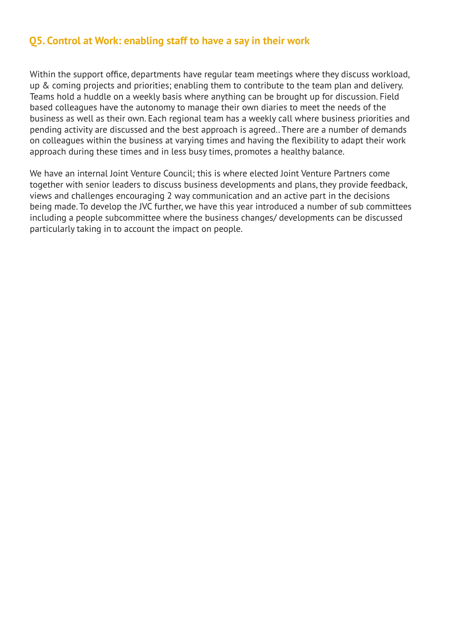#### **Q5. Control at Work: enabling staff to have a say in their work**

Within the support office, departments have regular team meetings where they discuss workload, up & coming projects and priorities; enabling them to contribute to the team plan and delivery. Teams hold a huddle on a weekly basis where anything can be brought up for discussion. Field based colleagues have the autonomy to manage their own diaries to meet the needs of the business as well as their own. Each regional team has a weekly call where business priorities and pending activity are discussed and the best approach is agreed.. There are a number of demands on colleagues within the business at varying times and having the flexibility to adapt their work approach during these times and in less busy times, promotes a healthy balance.

We have an internal Joint Venture Council; this is where elected Joint Venture Partners come together with senior leaders to discuss business developments and plans, they provide feedback, views and challenges encouraging 2 way communication and an active part in the decisions being made. To develop the JVC further, we have this year introduced a number of sub committees including a people subcommittee where the business changes/ developments can be discussed particularly taking in to account the impact on people.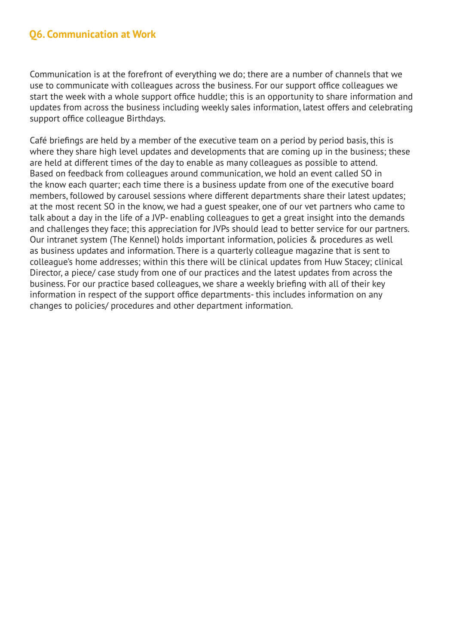Communication is at the forefront of everything we do; there are a number of channels that we use to communicate with colleagues across the business. For our support office colleagues we start the week with a whole support office huddle; this is an opportunity to share information and updates from across the business including weekly sales information, latest offers and celebrating support office colleague Birthdays.

Café briefings are held by a member of the executive team on a period by period basis, this is where they share high level updates and developments that are coming up in the business; these are held at different times of the day to enable as many colleagues as possible to attend. Based on feedback from colleagues around communication, we hold an event called SO in the know each quarter; each time there is a business update from one of the executive board members, followed by carousel sessions where different departments share their latest updates; at the most recent SO in the know, we had a guest speaker, one of our vet partners who came to talk about a day in the life of a JVP- enabling colleagues to get a great insight into the demands and challenges they face; this appreciation for JVPs should lead to better service for our partners. Our intranet system (The Kennel) holds important information, policies & procedures as well as business updates and information. There is a quarterly colleague magazine that is sent to colleague's home addresses; within this there will be clinical updates from Huw Stacey; clinical Director, a piece/ case study from one of our practices and the latest updates from across the business. For our practice based colleagues, we share a weekly briefing with all of their key information in respect of the support office departments- this includes information on any changes to policies/ procedures and other department information.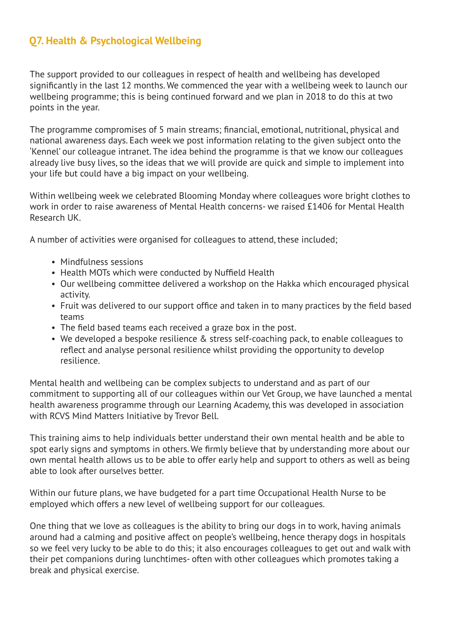## **Q7. Health & Psychological Wellbeing**

The support provided to our colleagues in respect of health and wellbeing has developed significantly in the last 12 months. We commenced the year with a wellbeing week to launch our wellbeing programme; this is being continued forward and we plan in 2018 to do this at two points in the year.

The programme compromises of 5 main streams; financial, emotional, nutritional, physical and national awareness days. Each week we post information relating to the given subject onto the 'Kennel' our colleague intranet. The idea behind the programme is that we know our colleagues already live busy lives, so the ideas that we will provide are quick and simple to implement into your life but could have a big impact on your wellbeing.

Within wellbeing week we celebrated Blooming Monday where colleagues wore bright clothes to work in order to raise awareness of Mental Health concerns- we raised £1406 for Mental Health Research UK.

A number of activities were organised for colleagues to attend, these included;

- Mindfulness sessions
- Health MOTs which were conducted by Nuffield Health
- Our wellbeing committee delivered a workshop on the Hakka which encouraged physical activity.
- Fruit was delivered to our support office and taken in to many practices by the field based teams
- The field based teams each received a graze box in the post.
- We developed a bespoke resilience & stress self-coaching pack, to enable colleagues to reflect and analyse personal resilience whilst providing the opportunity to develop resilience.

Mental health and wellbeing can be complex subjects to understand and as part of our commitment to supporting all of our colleagues within our Vet Group, we have launched a mental health awareness programme through our Learning Academy, this was developed in association with RCVS Mind Matters Initiative by Trevor Bell.

This training aims to help individuals better understand their own mental health and be able to spot early signs and symptoms in others. We firmly believe that by understanding more about our own mental health allows us to be able to offer early help and support to others as well as being able to look after ourselves better.

Within our future plans, we have budgeted for a part time Occupational Health Nurse to be employed which offers a new level of wellbeing support for our colleagues.

One thing that we love as colleagues is the ability to bring our dogs in to work, having animals around had a calming and positive affect on people's wellbeing, hence therapy dogs in hospitals so we feel very lucky to be able to do this; it also encourages colleagues to get out and walk with their pet companions during lunchtimes- often with other colleagues which promotes taking a break and physical exercise.